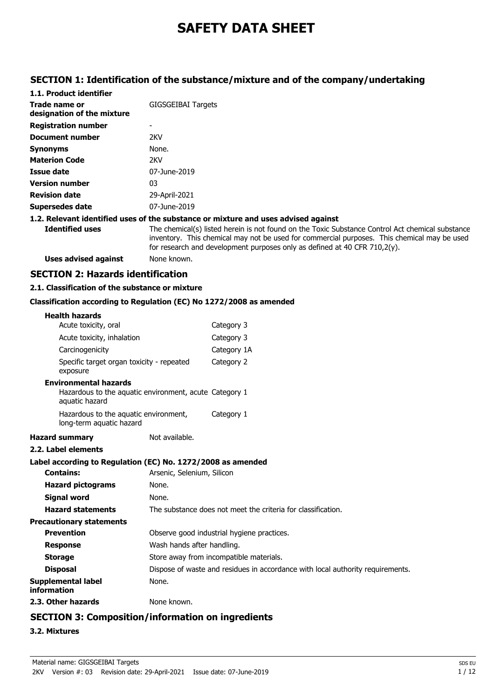# **SAFETY DATA SHEET**

## **SECTION 1: Identification of the substance/mixture and of the company/undertaking**

| 1.1. Product identifier                     |                                                                                                                                                                                                                                                                                 |
|---------------------------------------------|---------------------------------------------------------------------------------------------------------------------------------------------------------------------------------------------------------------------------------------------------------------------------------|
| Trade name or<br>designation of the mixture | GIGSGEIBAI Targets                                                                                                                                                                                                                                                              |
| <b>Registration number</b>                  |                                                                                                                                                                                                                                                                                 |
| Document number                             | 2KV                                                                                                                                                                                                                                                                             |
| <b>Synonyms</b>                             | None.                                                                                                                                                                                                                                                                           |
| <b>Materion Code</b>                        | 2KV                                                                                                                                                                                                                                                                             |
| Issue date                                  | 07-June-2019                                                                                                                                                                                                                                                                    |
| <b>Version number</b>                       | 03                                                                                                                                                                                                                                                                              |
| <b>Revision date</b>                        | 29-April-2021                                                                                                                                                                                                                                                                   |
| <b>Supersedes date</b>                      | 07-June-2019                                                                                                                                                                                                                                                                    |
|                                             | 1.2. Relevant identified uses of the substance or mixture and uses advised against                                                                                                                                                                                              |
| <b>Identified uses</b>                      | The chemical(s) listed herein is not found on the Toxic Substance Control Act chemical substance<br>inventory. This chemical may not be used for commercial purposes. This chemical may be used<br>for research and development purposes only as defined at 40 CFR $710,2(y)$ . |
| Uses advised against                        | None known.                                                                                                                                                                                                                                                                     |

## **SECTION 2: Hazards identification**

## **2.1. Classification of the substance or mixture**

## **Classification according to Regulation (EC) No 1272/2008 as amended**

| <b>Health hazards</b>                          |                                                                   |                                                                                |
|------------------------------------------------|-------------------------------------------------------------------|--------------------------------------------------------------------------------|
| Acute toxicity, oral                           |                                                                   | Category 3                                                                     |
|                                                | Acute toxicity, inhalation                                        | Category 3                                                                     |
| Carcinogenicity                                |                                                                   | Category 1A                                                                    |
| exposure                                       | Specific target organ toxicity - repeated                         | Category 2                                                                     |
| <b>Environmental hazards</b><br>aquatic hazard |                                                                   | Hazardous to the aquatic environment, acute Category 1                         |
|                                                | Hazardous to the aquatic environment,<br>long-term aquatic hazard | Category 1                                                                     |
| <b>Hazard summary</b>                          |                                                                   | Not available.                                                                 |
| 2.2. Label elements                            |                                                                   |                                                                                |
|                                                |                                                                   | Label according to Regulation (EC) No. 1272/2008 as amended                    |
| <b>Contains:</b>                               |                                                                   | Arsenic, Selenium, Silicon                                                     |
| <b>Hazard pictograms</b>                       | None.                                                             |                                                                                |
| <b>Signal word</b>                             | None.                                                             |                                                                                |
| <b>Hazard statements</b>                       |                                                                   | The substance does not meet the criteria for classification.                   |
| <b>Precautionary statements</b>                |                                                                   |                                                                                |
| <b>Prevention</b>                              |                                                                   | Observe good industrial hygiene practices.                                     |
| <b>Response</b>                                |                                                                   | Wash hands after handling.                                                     |
| <b>Storage</b>                                 |                                                                   | Store away from incompatible materials.                                        |
| <b>Disposal</b>                                |                                                                   | Dispose of waste and residues in accordance with local authority requirements. |
| Supplemental label<br>information              | None.                                                             |                                                                                |
| 2.3. Other hazards                             |                                                                   | None known.                                                                    |
|                                                |                                                                   |                                                                                |

## **SECTION 3: Composition/information on ingredients**

## **3.2. Mixtures**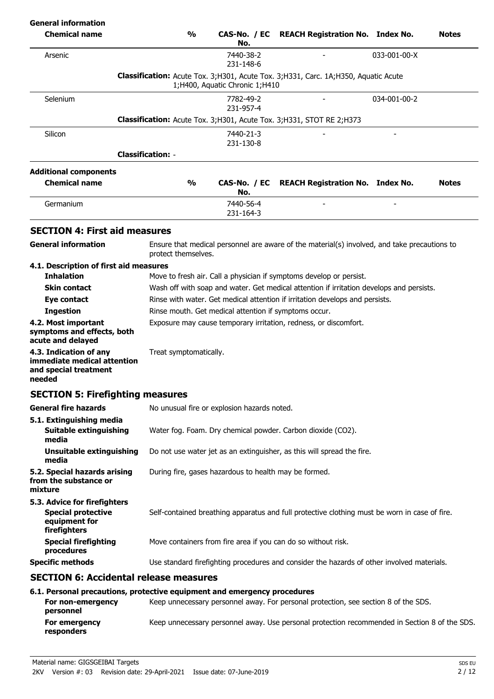## **General information CAS-No. / EC REACH Registration No. Index No. Motes No. %Chemical name Classification:** Acute Tox. 3;H301, Acute Tox. 3;H331, Carc. 1A;H350, Aquatic Acute Arsenic 2033-001-00-X 7440-38-2 - 2033-001-00-X 231-148-6 1;H400, Aquatic Chronic 1;H410 **Classification:** Acute Tox. 3;H301, Acute Tox. 3;H331, STOT RE 2;H373 Selenium 1990 12034-001-00-2 231-957-4 **Classification:** - - Silicon - 21-40-21-3 - 2440-21-3 - 2540-21-3 - 2550 - 2550 - 2550 - 2550 - 2550 - 2550 - 2550 - 2550 - 2550 231-130-8 **Chemical name Additional components % CAS-No. / EC No. REACH Registration No. Index No. Notes** Germanium 7440-56-4 231-164-3 - - **SECTION 4: First aid measures** Ensure that medical personnel are aware of the material(s) involved, and take precautions to protect themselves. **General information 4.1. Description of first aid measures Inhalation** Move to fresh air. Call a physician if symptoms develop or persist. **Skin contact** Wash off with soap and water. Get medical attention if irritation develops and persists. **Eye contact** Rinse with water. Get medical attention if irritation develops and persists. **Ingestion** Rinse mouth. Get medical attention if symptoms occur. **4.2. Most important** Exposure may cause temporary irritation, redness, or discomfort. **symptoms and effects, both acute and delayed 4.3. Indication of any** Treat symptomatically. **immediate medical attention and special treatment needed SECTION 5: Firefighting measures General fire hazards** No unusual fire or explosion hazards noted. **5.1. Extinguishing media Suitable extinguishing** Water fog. Foam. Dry chemical powder. Carbon dioxide (CO2). **media Unsuitable extinguishing** Do not use water jet as an extinguisher, as this will spread the fire. **media 5.2. Special hazards arising** During fire, gases hazardous to health may be formed. **from the substance or mixture 5.3. Advice for firefighters Special protective** Self-contained breathing apparatus and full protective clothing must be worn in case of fire. **equipment for firefighters Special firefighting** Move containers from fire area if you can do so without risk. **procedures Specific methods** Use standard firefighting procedures and consider the hazards of other involved materials. **SECTION 6: Accidental release measures 6.1. Personal precautions, protective equipment and emergency procedures For non-emergency** Keep unnecessary personnel away. For personal protection, see section 8 of the SDS. **personnel For emergency** Keep unnecessary personnel away. Use personal protection recommended in Section 8 of the SDS. **responders**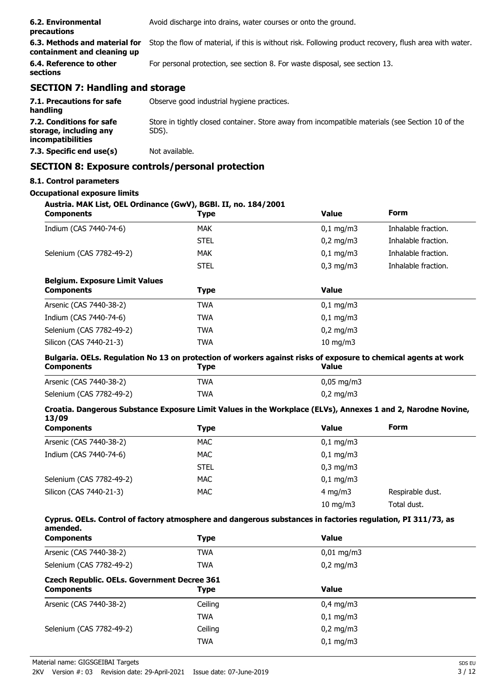| 6.2. Environmental<br>precautions                            | Avoid discharge into drains, water courses or onto the ground.                                         |
|--------------------------------------------------------------|--------------------------------------------------------------------------------------------------------|
| 6.3. Methods and material for<br>containment and cleaning up | Stop the flow of material, if this is without risk. Following product recovery, flush area with water. |
| 6.4. Reference to other<br>sections                          | For personal protection, see section 8. For waste disposal, see section 13.                            |
| <b>SECTION 7: Handling and storage</b>                       |                                                                                                        |
| 7.1. Precautions for safe                                    | Observe good industrial hygiene practices.                                                             |

| 7.1.1.1000000000 101 3010<br>handling                                          | ODJCI VC GOOD INQUJURI III HYGICHC DI UCUCCJ.                                                             |
|--------------------------------------------------------------------------------|-----------------------------------------------------------------------------------------------------------|
| 7.2. Conditions for safe<br>storage, including any<br><i>incompatibilities</i> | Store in tightly closed container. Store away from incompatible materials (see Section 10 of the<br>SDS). |
| 7.3. Specific end use(s)                                                       | Not available.                                                                                            |

## **SECTION 8: Exposure controls/personal protection**

## **8.1. Control parameters**

## **Occupational exposure limits**

| Austria. MAK List, OEL Ordinance (GwV), BGBI. II, no. 184/2001<br><b>Components</b>                                                 | <b>Type</b> | <b>Value</b>          | Form                |
|-------------------------------------------------------------------------------------------------------------------------------------|-------------|-----------------------|---------------------|
| Indium (CAS 7440-74-6)                                                                                                              | <b>MAK</b>  | $0,1$ mg/m3           | Inhalable fraction. |
|                                                                                                                                     | <b>STEL</b> | $0,2$ mg/m3           | Inhalable fraction. |
| Selenium (CAS 7782-49-2)                                                                                                            | <b>MAK</b>  | $0,1$ mg/m3           | Inhalable fraction. |
|                                                                                                                                     | <b>STEL</b> | $0,3$ mg/m $3$        | Inhalable fraction. |
| <b>Belgium. Exposure Limit Values</b>                                                                                               |             |                       |                     |
| <b>Components</b>                                                                                                                   | <b>Type</b> | <b>Value</b>          |                     |
| Arsenic (CAS 7440-38-2)                                                                                                             | <b>TWA</b>  | $0,1$ mg/m3           |                     |
| Indium (CAS 7440-74-6)                                                                                                              | <b>TWA</b>  | $0,1$ mg/m3           |                     |
| Selenium (CAS 7782-49-2)                                                                                                            | <b>TWA</b>  | $0,2$ mg/m3           |                     |
| Silicon (CAS 7440-21-3)                                                                                                             | <b>TWA</b>  | 10 mg/m3              |                     |
| Bulgaria. OELs. Regulation No 13 on protection of workers against risks of exposure to chemical agents at work<br><b>Components</b> | <b>Type</b> | <b>Value</b>          |                     |
| Arsenic (CAS 7440-38-2)                                                                                                             | <b>TWA</b>  | $0,05$ mg/m3          |                     |
| Selenium (CAS 7782-49-2)                                                                                                            | <b>TWA</b>  | $0,2$ mg/m $3$        |                     |
| Croatia. Dangerous Substance Exposure Limit Values in the Workplace (ELVs), Annexes 1 and 2, Narodne Novine,<br>13/09               |             |                       |                     |
| <b>Components</b>                                                                                                                   | <b>Type</b> | <b>Value</b>          | <b>Form</b>         |
| Arsenic (CAS 7440-38-2)                                                                                                             | <b>MAC</b>  | $0,1$ mg/m $3$        |                     |
| Indium (CAS 7440-74-6)                                                                                                              | <b>MAC</b>  | $0,1$ mg/m3           |                     |
|                                                                                                                                     | <b>STEL</b> | $0,3$ mg/m $3$        |                     |
| Selenium (CAS 7782-49-2)                                                                                                            | <b>MAC</b>  | $0,1$ mg/m3           |                     |
| Silicon (CAS 7440-21-3)                                                                                                             | <b>MAC</b>  | $4$ mg/m $3$          | Respirable dust.    |
|                                                                                                                                     |             | $10$ mg/m $3$         | Total dust.         |
| Cyprus. OELs. Control of factory atmosphere and dangerous substances in factories regulation, PI 311/73, as<br>amended.             |             |                       |                     |
| <b>Components</b>                                                                                                                   | <b>Type</b> | <b>Value</b>          |                     |
| Arsenic (CAS 7440-38-2)                                                                                                             | <b>TWA</b>  | $0,01 \text{ mg/m}$ 3 |                     |
| Selenium (CAS 7782-49-2)                                                                                                            | <b>TWA</b>  | $0,2$ mg/m3           |                     |
| <b>Czech Republic. OELs. Government Decree 361</b><br><b>Components</b>                                                             | <b>Type</b> | <b>Value</b>          |                     |
| Arsenic (CAS 7440-38-2)                                                                                                             | Ceiling     | $0,4$ mg/m3           |                     |
|                                                                                                                                     | <b>TWA</b>  | $0,1$ mg/m3           |                     |
| Selenium (CAS 7782-49-2)                                                                                                            | Ceiling     | $0,2$ mg/m3           |                     |
|                                                                                                                                     | <b>TWA</b>  | $0,1$ mg/m3           |                     |
|                                                                                                                                     |             |                       |                     |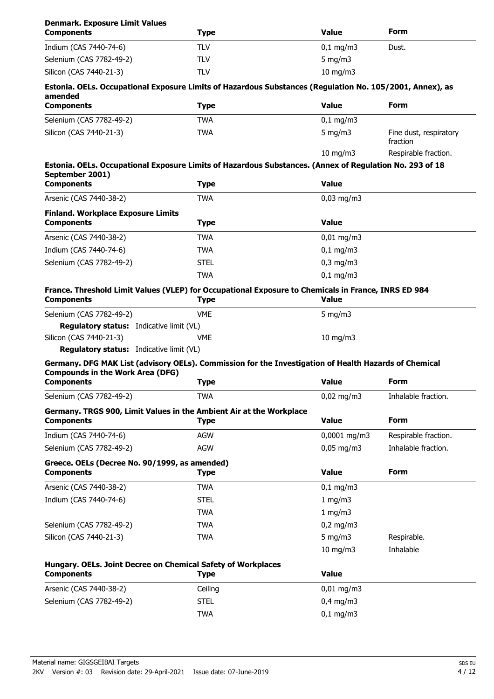| <b>Denmark. Exposure Limit Values</b><br><b>Components</b>                                                                 | <b>Type</b> | <b>Value</b>         | Form                               |
|----------------------------------------------------------------------------------------------------------------------------|-------------|----------------------|------------------------------------|
| Indium (CAS 7440-74-6)                                                                                                     | <b>TLV</b>  | $0,1$ mg/m $3$       | Dust.                              |
| Selenium (CAS 7782-49-2)                                                                                                   | <b>TLV</b>  | 5 mg/m $3$           |                                    |
| Silicon (CAS 7440-21-3)                                                                                                    | <b>TLV</b>  | $10$ mg/m $3$        |                                    |
| Estonia. OELs. Occupational Exposure Limits of Hazardous Substances (Regulation No. 105/2001, Annex), as<br>amended        |             |                      |                                    |
| <b>Components</b>                                                                                                          | <b>Type</b> | <b>Value</b>         | Form                               |
| Selenium (CAS 7782-49-2)                                                                                                   | <b>TWA</b>  | $0,1$ mg/m $3$       |                                    |
| Silicon (CAS 7440-21-3)                                                                                                    | <b>TWA</b>  | $5$ mg/m $3$         | Fine dust, respiratory<br>fraction |
|                                                                                                                            |             | 10 mg/m $3$          | Respirable fraction.               |
| Estonia. OELs. Occupational Exposure Limits of Hazardous Substances. (Annex of Regulation No. 293 of 18<br>September 2001) |             |                      |                                    |
| <b>Components</b>                                                                                                          | <b>Type</b> | <b>Value</b>         |                                    |
| Arsenic (CAS 7440-38-2)                                                                                                    | <b>TWA</b>  | $0,03$ mg/m3         |                                    |
| <b>Finland. Workplace Exposure Limits</b>                                                                                  |             |                      |                                    |
| <b>Components</b>                                                                                                          | <b>Type</b> | <b>Value</b>         |                                    |
| Arsenic (CAS 7440-38-2)                                                                                                    | <b>TWA</b>  | $0,01$ mg/m3         |                                    |
| Indium (CAS 7440-74-6)                                                                                                     | <b>TWA</b>  | $0,1 \, \text{mg/m}$ |                                    |
| Selenium (CAS 7782-49-2)                                                                                                   | <b>STEL</b> | $0,3$ mg/m $3$       |                                    |
|                                                                                                                            | <b>TWA</b>  | $0.1$ mg/m3          |                                    |
| France. Threshold Limit Values (VLEP) for Occupational Exposure to Chemicals in France, INRS ED 984<br><b>Components</b>   | <b>Type</b> | <b>Value</b>         |                                    |
| Selenium (CAS 7782-49-2)                                                                                                   | <b>VME</b>  | 5 mg/m $3$           |                                    |
| <b>Regulatory status:</b> Indicative limit (VL)                                                                            |             |                      |                                    |
| Silicon (CAS 7440-21-3)                                                                                                    | VME         | $10$ mg/m $3$        |                                    |
| <b>Regulatory status:</b> Indicative limit (VL)                                                                            |             |                      |                                    |
| Germany. DFG MAK List (advisory OELs). Commission for the Investigation of Health Hazards of Chemical                      |             |                      |                                    |
| <b>Compounds in the Work Area (DFG)</b><br><b>Components</b>                                                               | <b>Type</b> | <b>Value</b>         | Form                               |
|                                                                                                                            |             |                      |                                    |
| Selenium (CAS 7782-49-2)                                                                                                   | <b>TWA</b>  | $0,02$ mg/m3         | Inhalable fraction.                |
| Germany. TRGS 900, Limit Values in the Ambient Air at the Workplace<br><b>Components</b>                                   | <b>Type</b> | <b>Value</b>         | <b>Form</b>                        |
| Indium (CAS 7440-74-6)                                                                                                     | <b>AGW</b>  | 0,0001 mg/m3         | Respirable fraction.               |
| Selenium (CAS 7782-49-2)                                                                                                   | <b>AGW</b>  | $0,05$ mg/m3         | Inhalable fraction.                |
| Greece. OELs (Decree No. 90/1999, as amended)<br><b>Components</b>                                                         | <b>Type</b> | <b>Value</b>         | <b>Form</b>                        |
| Arsenic (CAS 7440-38-2)                                                                                                    | <b>TWA</b>  | $0,1$ mg/m3          |                                    |
| Indium (CAS 7440-74-6)                                                                                                     | <b>STEL</b> | 1 mg/m3              |                                    |
|                                                                                                                            | <b>TWA</b>  | 1 mg/m3              |                                    |
| Selenium (CAS 7782-49-2)                                                                                                   | <b>TWA</b>  | $0,2$ mg/m3          |                                    |
| Silicon (CAS 7440-21-3)                                                                                                    | <b>TWA</b>  | $5$ mg/m $3$         | Respirable.                        |
|                                                                                                                            |             | $10$ mg/m $3$        | Inhalable                          |
| Hungary. OELs. Joint Decree on Chemical Safety of Workplaces                                                               |             |                      |                                    |
| <b>Components</b>                                                                                                          | <b>Type</b> | <b>Value</b>         |                                    |
| Arsenic (CAS 7440-38-2)                                                                                                    | Ceiling     | $0,01$ mg/m3         |                                    |
| Selenium (CAS 7782-49-2)                                                                                                   | <b>STEL</b> | $0,4$ mg/m3          |                                    |
|                                                                                                                            | <b>TWA</b>  | $0,1$ mg/m3          |                                    |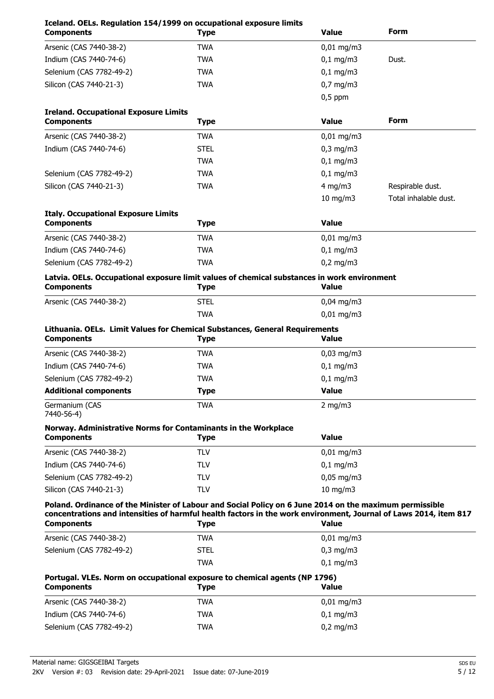| Iceland. OELs. Regulation 154/1999 on occupational exposure limits<br><b>Components</b>                                                                                                                                                          | <b>Type</b> | <b>Value</b>          | Form                  |
|--------------------------------------------------------------------------------------------------------------------------------------------------------------------------------------------------------------------------------------------------|-------------|-----------------------|-----------------------|
| Arsenic (CAS 7440-38-2)                                                                                                                                                                                                                          | <b>TWA</b>  | $0,01$ mg/m3          |                       |
| Indium (CAS 7440-74-6)                                                                                                                                                                                                                           | <b>TWA</b>  | $0,1$ mg/m3           | Dust.                 |
| Selenium (CAS 7782-49-2)                                                                                                                                                                                                                         | <b>TWA</b>  | $0,1$ mg/m3           |                       |
| Silicon (CAS 7440-21-3)                                                                                                                                                                                                                          | <b>TWA</b>  | $0,7$ mg/m3           |                       |
|                                                                                                                                                                                                                                                  |             | $0,5$ ppm             |                       |
| <b>Ireland. Occupational Exposure Limits</b><br><b>Components</b>                                                                                                                                                                                | <b>Type</b> | <b>Value</b>          | Form                  |
| Arsenic (CAS 7440-38-2)                                                                                                                                                                                                                          | <b>TWA</b>  | $0,01$ mg/m3          |                       |
| Indium (CAS 7440-74-6)                                                                                                                                                                                                                           | <b>STEL</b> | $0,3$ mg/m $3$        |                       |
|                                                                                                                                                                                                                                                  | <b>TWA</b>  | $0,1$ mg/m3           |                       |
| Selenium (CAS 7782-49-2)                                                                                                                                                                                                                         | <b>TWA</b>  | $0,1$ mg/m3           |                       |
| Silicon (CAS 7440-21-3)                                                                                                                                                                                                                          | <b>TWA</b>  | $4$ mg/m $3$          | Respirable dust.      |
|                                                                                                                                                                                                                                                  |             | $10$ mg/m $3$         | Total inhalable dust. |
| <b>Italy. Occupational Exposure Limits</b>                                                                                                                                                                                                       |             |                       |                       |
| <b>Components</b>                                                                                                                                                                                                                                | <b>Type</b> | <b>Value</b>          |                       |
| Arsenic (CAS 7440-38-2)                                                                                                                                                                                                                          | <b>TWA</b>  | $0,01$ mg/m3          |                       |
| Indium (CAS 7440-74-6)                                                                                                                                                                                                                           | <b>TWA</b>  | $0,1$ mg/m3           |                       |
| Selenium (CAS 7782-49-2)                                                                                                                                                                                                                         | <b>TWA</b>  | $0,2$ mg/m3           |                       |
| Latvia. OELs. Occupational exposure limit values of chemical substances in work environment<br><b>Components</b>                                                                                                                                 | <b>Type</b> | <b>Value</b>          |                       |
| Arsenic (CAS 7440-38-2)                                                                                                                                                                                                                          | <b>STEL</b> | $0,04$ mg/m3          |                       |
|                                                                                                                                                                                                                                                  | <b>TWA</b>  | $0,01 \text{ mg/m}$   |                       |
| Lithuania. OELs. Limit Values for Chemical Substances, General Requirements<br><b>Components</b>                                                                                                                                                 | <b>Type</b> | <b>Value</b>          |                       |
| Arsenic (CAS 7440-38-2)                                                                                                                                                                                                                          | <b>TWA</b>  | $0,03$ mg/m3          |                       |
| Indium (CAS 7440-74-6)                                                                                                                                                                                                                           | <b>TWA</b>  | $0,1$ mg/m3           |                       |
| Selenium (CAS 7782-49-2)                                                                                                                                                                                                                         | <b>TWA</b>  | $0,1$ mg/m3           |                       |
| <b>Additional components</b>                                                                                                                                                                                                                     | <b>Type</b> | Value                 |                       |
| Germanium (CAS<br>7440-56-4)                                                                                                                                                                                                                     | <b>TWA</b>  | 2 mg/m $3$            |                       |
| Norway. Administrative Norms for Contaminants in the Workplace<br><b>Components</b>                                                                                                                                                              | <b>Type</b> | <b>Value</b>          |                       |
| Arsenic (CAS 7440-38-2)                                                                                                                                                                                                                          | <b>TLV</b>  | $0,01 \text{ mg/m}$ 3 |                       |
| Indium (CAS 7440-74-6)                                                                                                                                                                                                                           | <b>TLV</b>  | $0,1$ mg/m3           |                       |
| Selenium (CAS 7782-49-2)                                                                                                                                                                                                                         | <b>TLV</b>  | $0,05$ mg/m3          |                       |
| Silicon (CAS 7440-21-3)                                                                                                                                                                                                                          | <b>TLV</b>  | $10$ mg/m $3$         |                       |
| Poland. Ordinance of the Minister of Labour and Social Policy on 6 June 2014 on the maximum permissible<br>concentrations and intensities of harmful health factors in the work environment, Journal of Laws 2014, item 817<br><b>Components</b> | <b>Type</b> | <b>Value</b>          |                       |
| Arsenic (CAS 7440-38-2)                                                                                                                                                                                                                          | <b>TWA</b>  | $0,01$ mg/m3          |                       |
| Selenium (CAS 7782-49-2)                                                                                                                                                                                                                         | <b>STEL</b> | $0,3$ mg/m $3$        |                       |
|                                                                                                                                                                                                                                                  | <b>TWA</b>  | $0,1$ mg/m3           |                       |
| Portugal. VLEs. Norm on occupational exposure to chemical agents (NP 1796)<br><b>Components</b>                                                                                                                                                  | <b>Type</b> | <b>Value</b>          |                       |
| Arsenic (CAS 7440-38-2)                                                                                                                                                                                                                          | <b>TWA</b>  | $0,01$ mg/m3          |                       |
| Indium (CAS 7440-74-6)                                                                                                                                                                                                                           | <b>TWA</b>  | $0,1$ mg/m3           |                       |
| Selenium (CAS 7782-49-2)                                                                                                                                                                                                                         | <b>TWA</b>  | $0,2$ mg/m3           |                       |
|                                                                                                                                                                                                                                                  |             |                       |                       |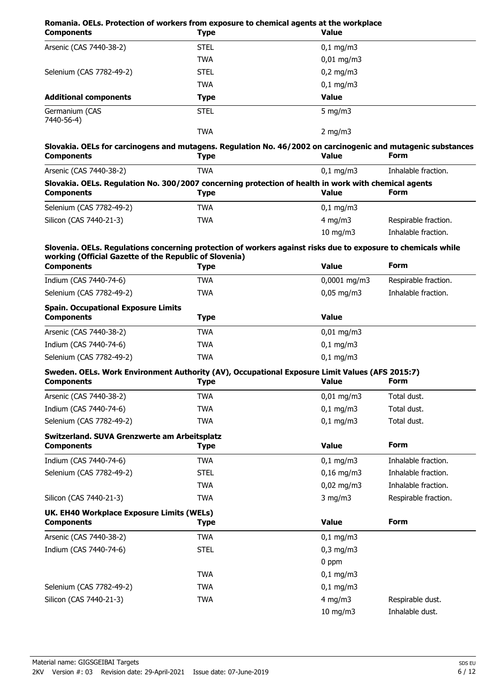| Romania. OELs. Protection of workers from exposure to chemical agents at the workplace<br><b>Components</b> | <b>Type</b>                                                                                                                 | <b>Value</b>                        |                      |
|-------------------------------------------------------------------------------------------------------------|-----------------------------------------------------------------------------------------------------------------------------|-------------------------------------|----------------------|
| Arsenic (CAS 7440-38-2)                                                                                     | <b>STEL</b>                                                                                                                 | $0,1$ mg/m3                         |                      |
|                                                                                                             | <b>TWA</b>                                                                                                                  | $0,01$ mg/m3                        |                      |
| Selenium (CAS 7782-49-2)                                                                                    | <b>STEL</b>                                                                                                                 | $0,2$ mg/m3                         |                      |
|                                                                                                             | <b>TWA</b>                                                                                                                  | $0,1$ mg/m3                         |                      |
| <b>Additional components</b>                                                                                | <b>Type</b>                                                                                                                 | <b>Value</b>                        |                      |
| Germanium (CAS<br>7440-56-4)                                                                                | <b>STEL</b>                                                                                                                 | $5$ mg/m $3$                        |                      |
|                                                                                                             | <b>TWA</b>                                                                                                                  | $2$ mg/m $3$                        |                      |
| <b>Components</b>                                                                                           | Slovakia. OELs for carcinogens and mutagens. Regulation No. 46/2002 on carcinogenic and mutagenic substances<br><b>Type</b> | <b>Value</b>                        | Form                 |
| Arsenic (CAS 7440-38-2)                                                                                     | <b>TWA</b>                                                                                                                  | $0,1$ mg/m3                         | Inhalable fraction.  |
| <b>Components</b>                                                                                           | Slovakia. OELs. Regulation No. 300/2007 concerning protection of health in work with chemical agents<br><b>Type</b>         | <b>Value</b>                        | <b>Form</b>          |
| Selenium (CAS 7782-49-2)                                                                                    | <b>TWA</b>                                                                                                                  | $0,1$ mg/m3                         |                      |
| Silicon (CAS 7440-21-3)                                                                                     | <b>TWA</b>                                                                                                                  | $4$ mg/m $3$                        | Respirable fraction. |
|                                                                                                             |                                                                                                                             | 10 mg/m3                            | Inhalable fraction.  |
|                                                                                                             | Slovenia. OELs. Regulations concerning protection of workers against risks due to exposure to chemicals while               |                                     |                      |
| working (Official Gazette of the Republic of Slovenia)<br><b>Components</b>                                 | <b>Type</b>                                                                                                                 | <b>Value</b>                        | Form                 |
| Indium (CAS 7440-74-6)                                                                                      | <b>TWA</b>                                                                                                                  | $0,0001$ mg/m3                      | Respirable fraction. |
| Selenium (CAS 7782-49-2)                                                                                    | <b>TWA</b>                                                                                                                  | $0.05$ mg/m3<br>Inhalable fraction. |                      |
| <b>Spain. Occupational Exposure Limits</b><br><b>Components</b>                                             | <b>Type</b>                                                                                                                 | <b>Value</b>                        |                      |
| Arsenic (CAS 7440-38-2)                                                                                     | <b>TWA</b>                                                                                                                  | $0,01$ mg/m3                        |                      |
| Indium (CAS 7440-74-6)                                                                                      | <b>TWA</b>                                                                                                                  | $0,1$ mg/m3                         |                      |
| Selenium (CAS 7782-49-2)                                                                                    | <b>TWA</b>                                                                                                                  | $0,1$ mg/m3                         |                      |
|                                                                                                             | Sweden. OELs. Work Environment Authority (AV), Occupational Exposure Limit Values (AFS 2015:7)                              |                                     |                      |
| <b>Components</b>                                                                                           | <b>Type</b>                                                                                                                 | <b>Value</b>                        | Form                 |
| Arsenic (CAS 7440-38-2)                                                                                     | <b>TWA</b>                                                                                                                  | $0,01$ mg/m3                        | Total dust.          |
| Indium (CAS 7440-74-6)                                                                                      | <b>TWA</b>                                                                                                                  | $0,1$ mg/m3                         | Total dust.          |
| Selenium (CAS 7782-49-2)                                                                                    | <b>TWA</b>                                                                                                                  | $0,1$ mg/m3                         | Total dust.          |
| Switzerland. SUVA Grenzwerte am Arbeitsplatz<br><b>Components</b>                                           | <b>Type</b>                                                                                                                 | <b>Value</b>                        | <b>Form</b>          |
| Indium (CAS 7440-74-6)                                                                                      | <b>TWA</b>                                                                                                                  | $0,1$ mg/m3                         | Inhalable fraction.  |
| Selenium (CAS 7782-49-2)                                                                                    | <b>STEL</b>                                                                                                                 | $0,16$ mg/m3                        | Inhalable fraction.  |
|                                                                                                             | <b>TWA</b>                                                                                                                  | $0,02$ mg/m3                        | Inhalable fraction.  |
| Silicon (CAS 7440-21-3)                                                                                     | <b>TWA</b>                                                                                                                  | $3$ mg/m $3$                        | Respirable fraction. |
| UK. EH40 Workplace Exposure Limits (WELs)<br><b>Components</b>                                              | <b>Type</b>                                                                                                                 | <b>Value</b>                        | Form                 |
| Arsenic (CAS 7440-38-2)                                                                                     | <b>TWA</b>                                                                                                                  | $0,1$ mg/m3                         |                      |
| Indium (CAS 7440-74-6)                                                                                      | <b>STEL</b>                                                                                                                 | $0,3$ mg/m $3$                      |                      |
|                                                                                                             |                                                                                                                             | 0 ppm                               |                      |
|                                                                                                             | <b>TWA</b>                                                                                                                  | $0,1$ mg/m3                         |                      |
| Selenium (CAS 7782-49-2)                                                                                    | <b>TWA</b>                                                                                                                  | $0,1$ mg/m3                         |                      |

Silicon (CAS 7440-21-3) TWA TWA 2011 TWA 4 mg/m3 Respirable dust.

10 mg/m3 Inhalable dust.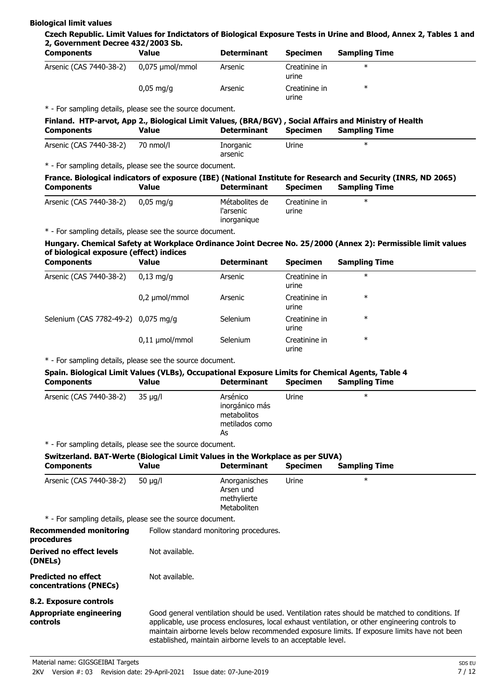#### **Biological limit values**

**Czech Republic. Limit Values for Indictators of Biological Exposure Tests in Urine and Blood, Annex 2, Tables 1 and 2, Government Decree 432/2003 Sb.**

| <b>Components</b>       | Value                  | <b>Determinant</b> | <b>Specimen</b>        | <b>Sampling Time</b> |  |
|-------------------------|------------------------|--------------------|------------------------|----------------------|--|
| Arsenic (CAS 7440-38-2) | 0,075 µmol/mmol        | Arsenic            | Creatinine in<br>urine | ∗                    |  |
|                         | $0.05 \,\mathrm{mq/q}$ | Arsenic            | Creatinine in<br>urine | ∗                    |  |

\* - For sampling details, please see the source document.

## **Finland. HTP-arvot, App 2., Biological Limit Values, (BRA/BGV) , Social Affairs and Ministry of Health Components Determinant Specimen Sampling Time Value**

| Arsenic (CAS 7440-38-2) | 70 nmol/l | Inorganic | Jrine<br>___ |  |
|-------------------------|-----------|-----------|--------------|--|
|                         |           | arsenic   |              |  |

\* - For sampling details, please see the source document.

|                   |       |                    |                 | France. Biological indicators of exposure (IBE) (National Institute for Research and Security (INRS, ND 2065) |
|-------------------|-------|--------------------|-----------------|---------------------------------------------------------------------------------------------------------------|
| <b>Components</b> | Value | <b>Determinant</b> | <b>Specimen</b> | <b>Sampling Time</b>                                                                                          |

| Arsenic (CAS 7440-38-2) | $0.05 \,\mathrm{mq/q}$ | Métabolites de<br>l'arsenic<br>inorganique | Creatinine in<br>urine | ж |  |
|-------------------------|------------------------|--------------------------------------------|------------------------|---|--|
|                         |                        |                                            |                        |   |  |

\* - For sampling details, please see the source document.

#### **Hungary. Chemical Safety at Workplace Ordinance Joint Decree No. 25/2000 (Annex 2): Permissible limit values of biological exposure (effect) indices**

| <b>Components</b>                   | <b>Value</b>        | <b>Determinant</b> | <b>Specimen</b>        | <b>Sampling Time</b> |  |
|-------------------------------------|---------------------|--------------------|------------------------|----------------------|--|
| Arsenic (CAS 7440-38-2)             | $0.13$ ma/a         | Arsenic            | Creatinine in<br>urine | $\ast$               |  |
|                                     | $0,2 \mu$ mol/mmol  | Arsenic            | Creatinine in<br>urine | $\ast$               |  |
| Selenium (CAS 7782-49-2) 0,075 mg/g |                     | Selenium           | Creatinine in<br>urine | $\ast$               |  |
|                                     | $0,11 \mu$ mol/mmol | Selenium           | Creatinine in<br>urine | $\ast$               |  |

\* - For sampling details, please see the source document.

## **Spain. Biological Limit Values (VLBs), Occupational Exposure Limits for Chemical Agents, Table 4**

| <b>Components</b>       | Value   | <b>Determinant</b>                                                | <b>Specimen</b> | <b>Sampling Time</b> |  |
|-------------------------|---------|-------------------------------------------------------------------|-----------------|----------------------|--|
| Arsenic (CAS 7440-38-2) | 35 ua/l | Arsénico<br>inorgánico más<br>metabolitos<br>metilados como<br>As | Urine           | $\ast$               |  |
|                         |         |                                                                   |                 |                      |  |

\* - For sampling details, please see the source document.

## **Switzerland. BAT-Werte (Biological Limit Values in the Workplace as per SUVA)**

| <b>Components</b>                                         | Value                                                         | <b>Determinant</b>                                       | Specimen | <b>Sampling Time</b>                                                                                                                                                                                                                                                                              |
|-----------------------------------------------------------|---------------------------------------------------------------|----------------------------------------------------------|----------|---------------------------------------------------------------------------------------------------------------------------------------------------------------------------------------------------------------------------------------------------------------------------------------------------|
| Arsenic (CAS 7440-38-2)                                   | 50 $\mu$ g/l                                                  | Anorganisches<br>Arsen und<br>methylierte<br>Metaboliten | Urine    | $\ast$                                                                                                                                                                                                                                                                                            |
| * - For sampling details, please see the source document. |                                                               |                                                          |          |                                                                                                                                                                                                                                                                                                   |
| Recommended monitoring<br>procedures                      | Follow standard monitoring procedures.                        |                                                          |          |                                                                                                                                                                                                                                                                                                   |
| Derived no effect levels<br>(DNELs)                       | Not available.                                                |                                                          |          |                                                                                                                                                                                                                                                                                                   |
| <b>Predicted no effect</b><br>concentrations (PNECs)      | Not available.                                                |                                                          |          |                                                                                                                                                                                                                                                                                                   |
| 8.2. Exposure controls                                    |                                                               |                                                          |          |                                                                                                                                                                                                                                                                                                   |
| <b>Appropriate engineering</b><br>controls                | established, maintain airborne levels to an acceptable level. |                                                          |          | Good general ventilation should be used. Ventilation rates should be matched to conditions. If<br>applicable, use process enclosures, local exhaust ventilation, or other engineering controls to<br>maintain airborne levels below recommended exposure limits. If exposure limits have not been |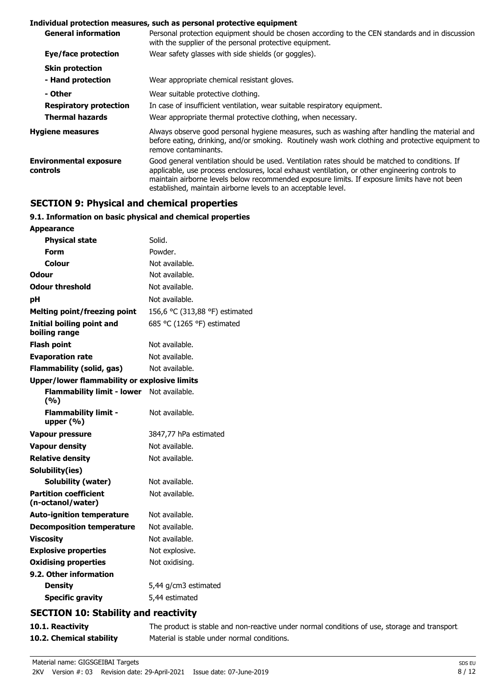#### **Individual protection measures, such as personal protective equipment**

| <b>General information</b>                | Personal protection equipment should be chosen according to the CEN standards and in discussion<br>with the supplier of the personal protective equipment.                                                                                                                                                                                                         |
|-------------------------------------------|--------------------------------------------------------------------------------------------------------------------------------------------------------------------------------------------------------------------------------------------------------------------------------------------------------------------------------------------------------------------|
| Eye/face protection                       | Wear safety glasses with side shields (or goggles).                                                                                                                                                                                                                                                                                                                |
| <b>Skin protection</b>                    |                                                                                                                                                                                                                                                                                                                                                                    |
| - Hand protection                         | Wear appropriate chemical resistant gloves.                                                                                                                                                                                                                                                                                                                        |
| - Other                                   | Wear suitable protective clothing.                                                                                                                                                                                                                                                                                                                                 |
| <b>Respiratory protection</b>             | In case of insufficient ventilation, wear suitable respiratory equipment.                                                                                                                                                                                                                                                                                          |
| <b>Thermal hazards</b>                    | Wear appropriate thermal protective clothing, when necessary.                                                                                                                                                                                                                                                                                                      |
| <b>Hygiene measures</b>                   | Always observe good personal hygiene measures, such as washing after handling the material and<br>before eating, drinking, and/or smoking. Routinely wash work clothing and protective equipment to<br>remove contaminants.                                                                                                                                        |
| <b>Environmental exposure</b><br>controls | Good general ventilation should be used. Ventilation rates should be matched to conditions. If<br>applicable, use process enclosures, local exhaust ventilation, or other engineering controls to<br>maintain airborne levels below recommended exposure limits. If exposure limits have not been<br>established, maintain airborne levels to an acceptable level. |

## **SECTION 9: Physical and chemical properties**

## **9.1. Information on basic physical and chemical properties**

| <b>Appearance</b>                                   |                                |
|-----------------------------------------------------|--------------------------------|
| <b>Physical state</b>                               | Solid.                         |
| Form                                                | Powder.                        |
| Colour                                              | Not available.                 |
| Odour                                               | Not available.                 |
| <b>Odour threshold</b>                              | Not available.                 |
| рH                                                  | Not available.                 |
| <b>Melting point/freezing point</b>                 | 156,6 °C (313,88 °F) estimated |
| <b>Initial boiling point and</b><br>boiling range   | 685 °C (1265 °F) estimated     |
| <b>Flash point</b>                                  | Not available.                 |
| <b>Evaporation rate</b>                             | Not available.                 |
| <b>Flammability (solid, gas)</b>                    | Not available.                 |
| <b>Upper/lower flammability or explosive limits</b> |                                |
| Flammability limit - lower Not available.<br>(%)    |                                |
| <b>Flammability limit -</b><br>upper $(% )$         | Not available.                 |
| <b>Vapour pressure</b>                              | 3847,77 hPa estimated          |
| <b>Vapour density</b>                               | Not available.                 |
| <b>Relative density</b>                             | Not available.                 |
| Solubility(ies)                                     |                                |
| Solubility (water)                                  | Not available.                 |
| <b>Partition coefficient</b><br>(n-octanol/water)   | Not available.                 |
| <b>Auto-ignition temperature</b>                    | Not available.                 |
| <b>Decomposition temperature</b>                    | Not available.                 |
| <b>Viscosity</b>                                    | Not available.                 |
| <b>Explosive properties</b>                         | Not explosive.                 |
| <b>Oxidising properties</b>                         | Not oxidising.                 |
| 9.2. Other information                              |                                |
| <b>Density</b>                                      | 5,44 g/cm3 estimated           |
| <b>Specific gravity</b>                             | 5,44 estimated                 |
| CECTION 10, Ctability and reactivity                |                                |

## **SECTION 10: Stability and reactivity**

|  | 10.1. Reactivity |
|--|------------------|
|--|------------------|

The product is stable and non-reactive under normal conditions of use, storage and transport. **10.2. Chemical stability** Material is stable under normal conditions.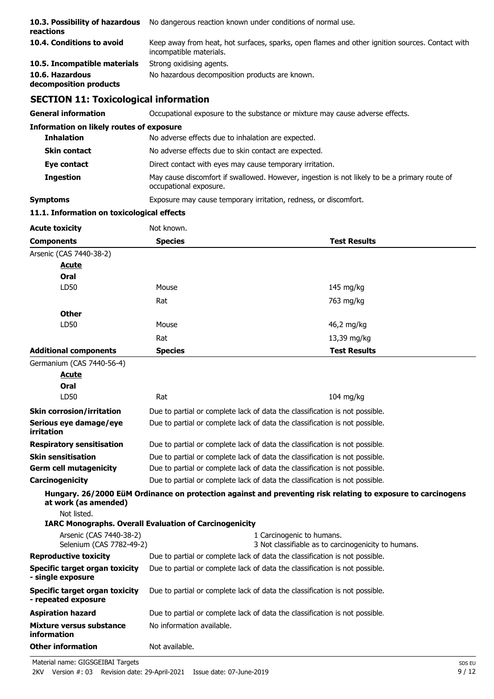| 10.3. Possibility of hazardous<br>reactions | No dangerous reaction known under conditions of normal use.                                                                |
|---------------------------------------------|----------------------------------------------------------------------------------------------------------------------------|
| 10.4. Conditions to avoid                   | Keep away from heat, hot surfaces, sparks, open flames and other ignition sources. Contact with<br>incompatible materials. |
| 10.5. Incompatible materials                | Strong oxidising agents.                                                                                                   |
| 10.6. Hazardous<br>decomposition products   | No hazardous decomposition products are known.                                                                             |

# **SECTION 11: Toxicological information**

**General information CCCUPATION** Occupational exposure to the substance or mixture may cause adverse effects.

| <b>Information on likely routes of exposure</b> |                                                                                                                        |
|-------------------------------------------------|------------------------------------------------------------------------------------------------------------------------|
| <b>Inhalation</b>                               | No adverse effects due to inhalation are expected.                                                                     |
| <b>Skin contact</b>                             | No adverse effects due to skin contact are expected.                                                                   |
| Eye contact                                     | Direct contact with eyes may cause temporary irritation.                                                               |
| <b>Ingestion</b>                                | May cause discomfort if swallowed. However, ingestion is not likely to be a primary route of<br>occupational exposure. |
| Symptoms                                        | Exposure may cause temporary irritation, redness, or discomfort.                                                       |

## **11.1. Information on toxicological effects**

| <b>Acute toxicity</b>        | Not known.     |                     |  |
|------------------------------|----------------|---------------------|--|
| <b>Components</b>            | <b>Species</b> | <b>Test Results</b> |  |
| Arsenic (CAS 7440-38-2)      |                |                     |  |
| <b>Acute</b>                 |                |                     |  |
| Oral                         |                |                     |  |
| LD50                         | Mouse          | $145 \text{ mg/kg}$ |  |
|                              | Rat            | 763 mg/kg           |  |
| <b>Other</b>                 |                |                     |  |
| LD50                         | Mouse          | 46,2 mg/kg          |  |
|                              | Rat            | 13,39 mg/kg         |  |
| <b>Additional components</b> | <b>Species</b> | <b>Test Results</b> |  |

Germanium (CAS 7440-56-4)

| Acute                                                                                                |                           |                                                                                                              |
|------------------------------------------------------------------------------------------------------|---------------------------|--------------------------------------------------------------------------------------------------------------|
| Oral                                                                                                 |                           |                                                                                                              |
| LD50                                                                                                 | Rat                       | $104$ mg/kg                                                                                                  |
| <b>Skin corrosion/irritation</b>                                                                     |                           | Due to partial or complete lack of data the classification is not possible.                                  |
| Serious eye damage/eye<br>irritation                                                                 |                           | Due to partial or complete lack of data the classification is not possible.                                  |
| <b>Respiratory sensitisation</b>                                                                     |                           | Due to partial or complete lack of data the classification is not possible.                                  |
| <b>Skin sensitisation</b>                                                                            |                           | Due to partial or complete lack of data the classification is not possible.                                  |
| <b>Germ cell mutagenicity</b>                                                                        |                           | Due to partial or complete lack of data the classification is not possible.                                  |
| Carcinogenicity                                                                                      |                           | Due to partial or complete lack of data the classification is not possible.                                  |
| at work (as amended)<br>Not listed.<br><b>IARC Monographs. Overall Evaluation of Carcinogenicity</b> |                           | Hungary. 26/2000 EüM Ordinance on protection against and preventing risk relating to exposure to carcinogens |
| Arsenic (CAS 7440-38-2)<br>Selenium (CAS 7782-49-2)                                                  |                           | 1 Carcinogenic to humans.<br>3 Not classifiable as to carcinogenicity to humans.                             |
| <b>Reproductive toxicity</b>                                                                         |                           | Due to partial or complete lack of data the classification is not possible.                                  |
| Specific target organ toxicity<br>- single exposure                                                  |                           | Due to partial or complete lack of data the classification is not possible.                                  |
| Specific target organ toxicity<br>- repeated exposure                                                |                           | Due to partial or complete lack of data the classification is not possible.                                  |
| <b>Aspiration hazard</b>                                                                             |                           | Due to partial or complete lack of data the classification is not possible.                                  |
| Mixture versus substance<br>information                                                              | No information available. |                                                                                                              |
| <b>Other information</b>                                                                             | Not available.            |                                                                                                              |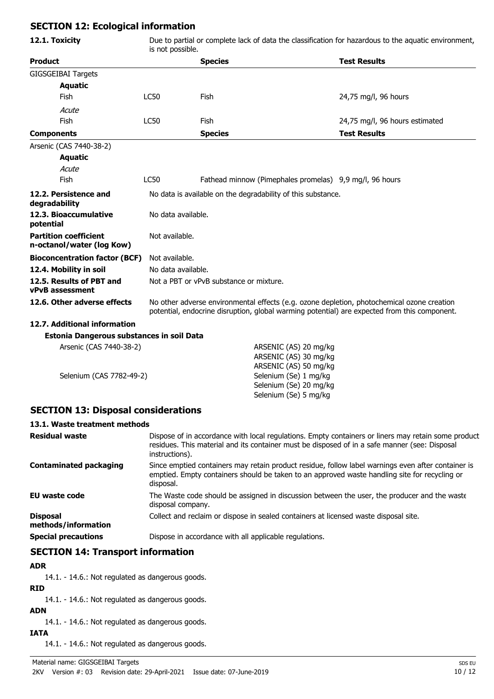## **SECTION 12: Ecological information**

| 12.1. Toxicity<br>Due to partial or complete lack of data the classification for hazardous to the aquatic environment,<br>is not possible. |                                                                                                                                                                                            |                                                              |                                |  |
|--------------------------------------------------------------------------------------------------------------------------------------------|--------------------------------------------------------------------------------------------------------------------------------------------------------------------------------------------|--------------------------------------------------------------|--------------------------------|--|
| <b>Product</b>                                                                                                                             |                                                                                                                                                                                            | <b>Species</b>                                               | <b>Test Results</b>            |  |
| <b>GIGSGEIBAI Targets</b>                                                                                                                  |                                                                                                                                                                                            |                                                              |                                |  |
| <b>Aquatic</b>                                                                                                                             |                                                                                                                                                                                            |                                                              |                                |  |
| Fish                                                                                                                                       | <b>LC50</b>                                                                                                                                                                                | <b>Fish</b>                                                  | 24,75 mg/l, 96 hours           |  |
| Acute                                                                                                                                      |                                                                                                                                                                                            |                                                              |                                |  |
| Fish                                                                                                                                       | <b>LC50</b>                                                                                                                                                                                | Fish                                                         | 24,75 mg/l, 96 hours estimated |  |
| <b>Components</b>                                                                                                                          |                                                                                                                                                                                            | <b>Species</b>                                               | <b>Test Results</b>            |  |
| Arsenic (CAS 7440-38-2)                                                                                                                    |                                                                                                                                                                                            |                                                              |                                |  |
| <b>Aquatic</b>                                                                                                                             |                                                                                                                                                                                            |                                                              |                                |  |
| Acute                                                                                                                                      |                                                                                                                                                                                            |                                                              |                                |  |
| Fish                                                                                                                                       | <b>LC50</b>                                                                                                                                                                                | Fathead minnow (Pimephales promelas) 9,9 mg/l, 96 hours      |                                |  |
| 12.2. Persistence and<br>degradability                                                                                                     |                                                                                                                                                                                            | No data is available on the degradability of this substance. |                                |  |
| 12.3. Bioaccumulative<br>potential                                                                                                         |                                                                                                                                                                                            | No data available.                                           |                                |  |
| <b>Partition coefficient</b><br>n-octanol/water (log Kow)                                                                                  | Not available.                                                                                                                                                                             |                                                              |                                |  |
| <b>Bioconcentration factor (BCF)</b>                                                                                                       | Not available.                                                                                                                                                                             |                                                              |                                |  |
| 12.4. Mobility in soil                                                                                                                     | No data available.                                                                                                                                                                         |                                                              |                                |  |
| 12.5. Results of PBT and<br>vPvB assessment                                                                                                | Not a PBT or vPvB substance or mixture.                                                                                                                                                    |                                                              |                                |  |
| 12.6. Other adverse effects                                                                                                                | No other adverse environmental effects (e.g. ozone depletion, photochemical ozone creation<br>potential, endocrine disruption, global warming potential) are expected from this component. |                                                              |                                |  |
| 12.7. Additional information                                                                                                               |                                                                                                                                                                                            |                                                              |                                |  |
| Estonia Dangerous substances in soil Data                                                                                                  |                                                                                                                                                                                            |                                                              |                                |  |
| Arsenic (CAS 7440-38-2)                                                                                                                    |                                                                                                                                                                                            | ARSENIC (AS) 20 mg/kg                                        |                                |  |
|                                                                                                                                            |                                                                                                                                                                                            | ARSENIC (AS) 30 mg/kg                                        |                                |  |
|                                                                                                                                            |                                                                                                                                                                                            | ARSENIC (AS) 50 mg/kg                                        |                                |  |
| Selenium (CAS 7782-49-2)<br>Selenium (Se) 1 mg/kg                                                                                          |                                                                                                                                                                                            |                                                              |                                |  |

## **SECTION 13: Disposal considerations**

## **13.1. Waste treatment methods**

| <b>Residual waste</b>                  | Dispose of in accordance with local regulations. Empty containers or liners may retain some product<br>residues. This material and its container must be disposed of in a safe manner (see: Disposal<br>instructions). |
|----------------------------------------|------------------------------------------------------------------------------------------------------------------------------------------------------------------------------------------------------------------------|
| <b>Contaminated packaging</b>          | Since emptied containers may retain product residue, follow label warnings even after container is<br>emptied. Empty containers should be taken to an approved waste handling site for recycling or<br>disposal.       |
| EU waste code                          | The Waste code should be assigned in discussion between the user, the producer and the waste<br>disposal company.                                                                                                      |
| <b>Disposal</b><br>methods/information | Collect and reclaim or dispose in sealed containers at licensed waste disposal site.                                                                                                                                   |
| <b>Special precautions</b>             | Dispose in accordance with all applicable regulations.                                                                                                                                                                 |

Selenium (Se) 20 mg/kg Selenium (Se) 5 mg/kg

## **SECTION 14: Transport information**

#### **ADR**

14.1. - 14.6.: Not regulated as dangerous goods.

**RID**

14.1. - 14.6.: Not regulated as dangerous goods.

**ADN**

14.1. - 14.6.: Not regulated as dangerous goods.

## **IATA**

14.1. - 14.6.: Not regulated as dangerous goods.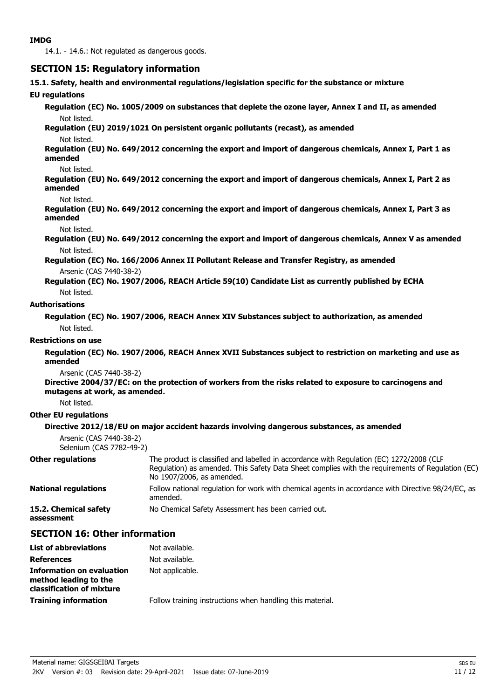14.1. - 14.6.: Not regulated as dangerous goods.

## **SECTION 15: Regulatory information**

**15.1. Safety, health and environmental regulations/legislation specific for the substance or mixture**

#### **EU regulations**

**Regulation (EC) No. 1005/2009 on substances that deplete the ozone layer, Annex I and II, as amended** Not listed.

#### **Regulation (EU) 2019/1021 On persistent organic pollutants (recast), as amended**

#### Not listed.

**Regulation (EU) No. 649/2012 concerning the export and import of dangerous chemicals, Annex I, Part 1 as amended**

#### Not listed.

**Regulation (EU) No. 649/2012 concerning the export and import of dangerous chemicals, Annex I, Part 2 as amended**

#### Not listed.

**Regulation (EU) No. 649/2012 concerning the export and import of dangerous chemicals, Annex I, Part 3 as amended**

#### Not listed.

**Regulation (EU) No. 649/2012 concerning the export and import of dangerous chemicals, Annex V as amended** Not listed.

**Regulation (EC) No. 166/2006 Annex II Pollutant Release and Transfer Registry, as amended** Arsenic (CAS 7440-38-2)

**Regulation (EC) No. 1907/2006, REACH Article 59(10) Candidate List as currently published by ECHA** Not listed.

#### **Authorisations**

**Regulation (EC) No. 1907/2006, REACH Annex XIV Substances subject to authorization, as amended** Not listed.

#### **Restrictions on use**

**Regulation (EC) No. 1907/2006, REACH Annex XVII Substances subject to restriction on marketing and use as amended**

Arsenic (CAS 7440-38-2)

**Directive 2004/37/EC: on the protection of workers from the risks related to exposure to carcinogens and mutagens at work, as amended.**

Not listed.

#### **Other EU regulations**

#### **Directive 2012/18/EU on major accident hazards involving dangerous substances, as amended**

```
Arsenic (CAS 7440-38-2)
Selenium (CAS 7782-49-2)
```

| Other regulations    | The product is classified and labelled in accordance with Regulation (EC) 1272/2008 (CLP<br>Regulation) as amended. This Safety Data Sheet complies with the requirements of Regulation (EC)<br>No 1907/2006, as amended. |
|----------------------|---------------------------------------------------------------------------------------------------------------------------------------------------------------------------------------------------------------------------|
| National regulations | Follow national regulation for work with chemical agents in accordance with Directive 98/24/EC, as<br>amended.                                                                                                            |

**15.2. Chemical safety** No Chemical Safety Assessment has been carried out. **assessment**

## **SECTION 16: Other information**

| <b>List of abbreviations</b>                                                           | Not available.                                            |
|----------------------------------------------------------------------------------------|-----------------------------------------------------------|
| <b>References</b>                                                                      | Not available.                                            |
| <b>Information on evaluation</b><br>method leading to the<br>classification of mixture | Not applicable.                                           |
| <b>Training information</b>                                                            | Follow training instructions when handling this material. |
|                                                                                        |                                                           |